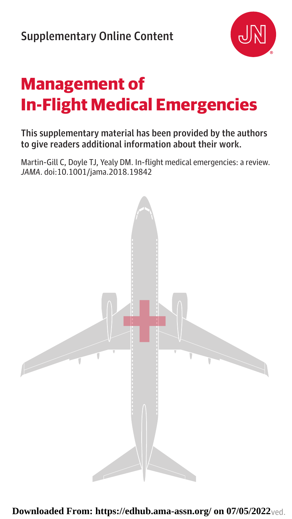

## **Management of In-Flight Medical Emergencies**

## This supplementary material has been provided by the authors to give readers additional information about their work.

Martin-Gill C, Doyle TJ, Yealy DM. In-flight medical emergencies: a review. *JAMA*. doi:10.1001/jama.2018.19842



 ${\bf Downloaded \ From \}: \ \text{https://edhub.ama-assn.org/ on 07/05/2022}$ ved.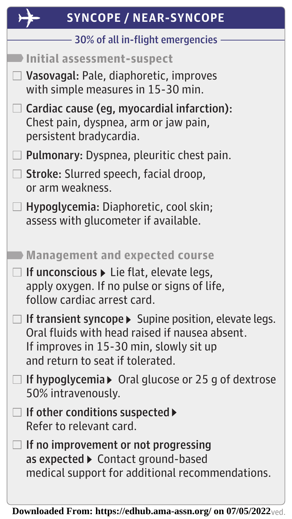| <b>SYNCOPE / NEAR-SYNCOPE</b>                                                                                                                                                          |
|----------------------------------------------------------------------------------------------------------------------------------------------------------------------------------------|
| 30% of all in-flight emergencies                                                                                                                                                       |
| <b>Initial assessment-suspect</b>                                                                                                                                                      |
| Vasovagal: Pale, diaphoretic, improves<br>with simple measures in 15-30 min.                                                                                                           |
| Cardiac cause (eg, myocardial infarction):<br>Chest pain, dyspnea, arm or jaw pain,<br>persistent bradycardia.                                                                         |
| Pulmonary: Dyspnea, pleuritic chest pain.                                                                                                                                              |
| $\Box$ Stroke: Slurred speech, facial droop,<br>or arm weakness.                                                                                                                       |
| Hypoglycemia: Diaphoretic, cool skin;<br>assess with glucometer if available.                                                                                                          |
| Management and expected course                                                                                                                                                         |
| $\Box$ If unconscious $\blacktriangleright$ Lie flat, elevate legs,<br>apply oxygen. If no pulse or signs of life,<br>follow cardiac arrest card.                                      |
| If transient syncope > Supine position, elevate legs.<br>Oral fluids with head raised if nausea absent.<br>If improves in 15-30 min, slowly sit up<br>and return to seat if tolerated. |
| If hypoglycemia $\triangleright$ Oral glucose or 25 g of dextrose<br>50% intravenously.                                                                                                |
| If other conditions suspected ▶<br>Refer to relevant card.                                                                                                                             |
| If no improvement or not progressing<br>as expected > Contact ground-based<br>medical support for additional recommendations.                                                          |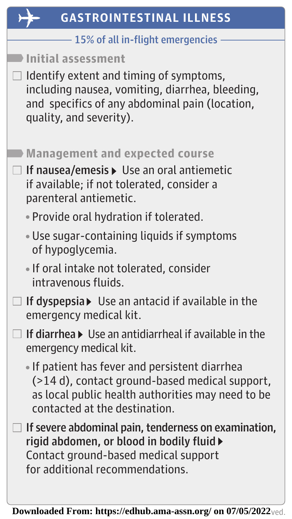| <b>GASTROINTESTINAL ILLNESS</b>                                                                                                                                                      |
|--------------------------------------------------------------------------------------------------------------------------------------------------------------------------------------|
| 15% of all in-flight emergencies                                                                                                                                                     |
| <b>Initial assessment</b>                                                                                                                                                            |
| Identify extent and timing of symptoms,<br>including nausea, vomiting, diarrhea, bleeding,<br>and specifics of any abdominal pain (location,<br>quality, and severity).              |
| <b>Management and expected course</b>                                                                                                                                                |
| If nausea/emesis > Use an oral antiemetic<br>if available; if not tolerated, consider a<br>parenteral antiemetic.                                                                    |
| · Provide oral hydration if tolerated.                                                                                                                                               |
| . Use sugar-containing liquids if symptoms<br>of hypoglycemia.                                                                                                                       |
| • If oral intake not tolerated, consider<br>intravenous fluids.                                                                                                                      |
| If dyspepsia▶ Use an antacid if available in the<br>emergency medical kit.                                                                                                           |
| If diarrhea $\blacktriangleright$ Use an antidiarrheal if available in the<br>emergency medical kit.                                                                                 |
| If patient has fever and persistent diarrhea<br>(>14 d), contact ground-based medical support,<br>as local public health authorities may need to be<br>contacted at the destination. |
| If severe abdominal pain, tenderness on examination,<br>rigid abdomen, or blood in bodily fluid ▶<br>Contact ground-based medical support<br>for additional recommendations.         |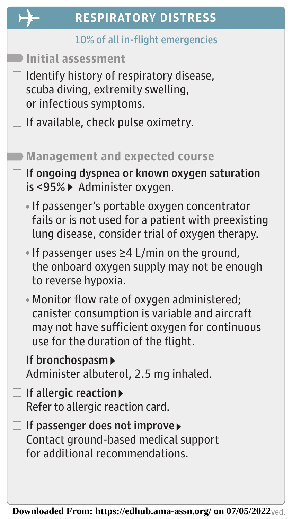| <b>RESPIRATORY DISTRESS</b>                                                                                                                                                          |
|--------------------------------------------------------------------------------------------------------------------------------------------------------------------------------------|
| 10% of all in-flight emergencies                                                                                                                                                     |
| <b>Initial assessment</b>                                                                                                                                                            |
| Identify history of respiratory disease,<br>scuba diving, extremity swelling,<br>or infectious symptoms.                                                                             |
| If available, check pulse oximetry.                                                                                                                                                  |
| <b>Management and expected course</b>                                                                                                                                                |
| If ongoing dyspnea or known oxygen saturation<br>is <95% > Administer oxygen.                                                                                                        |
| • If passenger's portable oxygen concentrator<br>fails or is not used for a patient with preexisting<br>lung disease, consider trial of oxygen therapy.                              |
| • If passenger uses $\geq$ 4 L/min on the ground,<br>the onboard oxygen supply may not be enough<br>to reverse hypoxia.                                                              |
| • Monitor flow rate of oxygen administered;<br>canister consumption is variable and aircraft<br>may not have sufficient oxygen for continuous<br>use for the duration of the flight. |
| $\Box$ If bronchospasm $\blacktriangleright$<br>Administer albuterol, 2.5 mg inhaled.                                                                                                |
| If allergic reaction<br>$\Box$<br>Refer to allergic reaction card.                                                                                                                   |
| If passenger does not improve▶<br>Contact ground-based medical support<br>for additional recommendations.                                                                            |
|                                                                                                                                                                                      |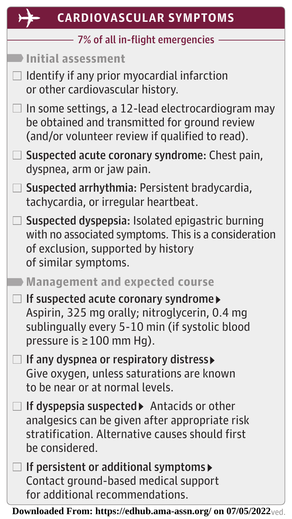| <b>CARDIOVASCULAR SYMPTOMS</b>                                                                                                                                         |
|------------------------------------------------------------------------------------------------------------------------------------------------------------------------|
| 7% of all in-flight emergencies                                                                                                                                        |
| Initial assessment                                                                                                                                                     |
| Identify if any prior myocardial infarction<br>or other cardiovascular history.                                                                                        |
| In some settings, a 12-lead electrocardiogram may<br>be obtained and transmitted for ground review<br>(and/or volunteer review if qualified to read).                  |
| Suspected acute coronary syndrome: Chest pain,<br>dyspnea, arm or jaw pain.                                                                                            |
| Suspected arrhythmia: Persistent bradycardia,<br>tachycardia, or irregular heartbeat.                                                                                  |
| Suspected dyspepsia: Isolated epigastric burning<br>with no associated symptoms. This is a consideration<br>of exclusion, supported by history<br>of similar symptoms. |

## **Management and expected course**

 $\Box$  If suspected acute coronary syndrome Aspirin, 325 mg orally; nitroglycerin, 0.4 mg sublingually every 5-10 min (if systolic blood pressure is ≥100 mm Hg).

 $\Box$  If any dyspnea or respiratory distress Give oxygen, unless saturations are known to be near or at normal levels.

 $\Box$  If dyspepsia suspected Antacids or other analgesics can be given after appropriate risk stratification. Alternative causes should first be considered.

 $\Box$  If persistent or additional symptoms Contact ground-based medical support for additional recommendations.

 ${\bf Downloaded \ From \}: \ \text{https://edhub.ama-assn.org/ on 07/05/2022}$ ved.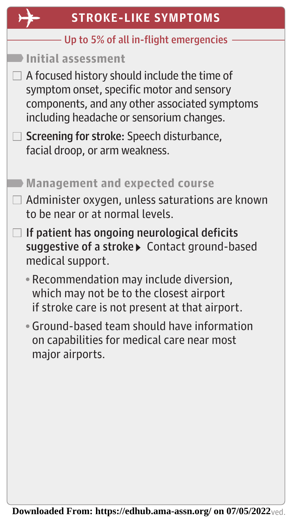| <b>STROKE-LIKE SYMPTOMS</b>                                                                                                                                                                                                                                                                 |
|---------------------------------------------------------------------------------------------------------------------------------------------------------------------------------------------------------------------------------------------------------------------------------------------|
| Up to 5% of all in-flight emergencies                                                                                                                                                                                                                                                       |
| Initial assessment<br>A focused history should include the time of<br>symptom onset, specific motor and sensory<br>components, and any other associated symptoms<br>including headache or sensorium changes.<br>Screening for stroke: Speech disturbance,<br>facial droop, or arm weakness. |
| <b>Management and expected course</b><br>Administer oxygen, unless saturations are known<br>to be near or at normal levels.                                                                                                                                                                 |
| If patient has ongoing neurological deficits<br>suggestive of a stroke▶ Contact ground-based<br>medical support.                                                                                                                                                                            |
| • Recommendation may include diversion,<br>which may not be to the closest airport<br>if stroke care is not present at that airport.                                                                                                                                                        |
| • Ground-based team should have information<br>on capabilities for medical care near most<br>major airports.                                                                                                                                                                                |
|                                                                                                                                                                                                                                                                                             |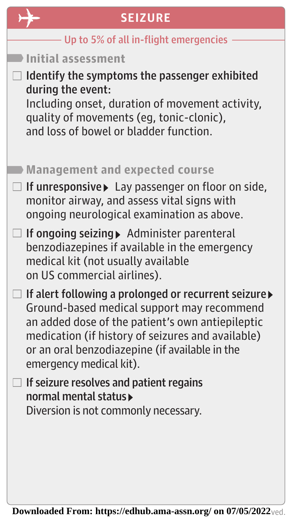| <b>SEIZURE</b>                                                                                                                                                                                                                                                                          |
|-----------------------------------------------------------------------------------------------------------------------------------------------------------------------------------------------------------------------------------------------------------------------------------------|
| Up to 5% of all in-flight emergencies                                                                                                                                                                                                                                                   |
| Initial assessment                                                                                                                                                                                                                                                                      |
| I Identify the symptoms the passenger exhibited<br>during the event:<br>Including onset, duration of movement activity,<br>quality of movements (eg, tonic-clonic),<br>and loss of bowel or bladder function.                                                                           |
| <b>Management and expected course</b>                                                                                                                                                                                                                                                   |
| If unresponsive Lay passenger on floor on side,<br>monitor airway, and assess vital signs with<br>ongoing neurological examination as above.                                                                                                                                            |
| If ongoing seizing > Administer parenteral<br>benzodiazepines if available in the emergency<br>medical kit (not usually available<br>on US commercial airlines).                                                                                                                        |
| If alert following a prolonged or recurrent seizure<br>Ground-based medical support may recommend<br>an added dose of the patient's own antiepileptic<br>medication (if history of seizures and available)<br>or an oral benzodiazepine (if available in the<br>emergency medical kit). |
| If seizure resolves and patient regains<br>normal mental status▶<br>Diversion is not commonly necessary.                                                                                                                                                                                |
|                                                                                                                                                                                                                                                                                         |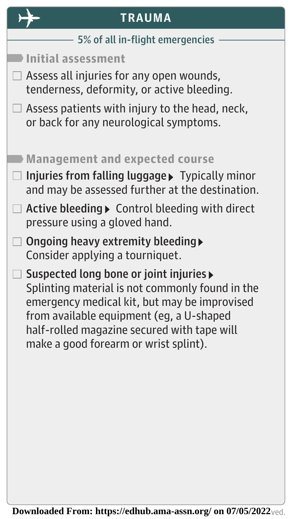| Assess patients with injury to the head, neck,                                                     |
|----------------------------------------------------------------------------------------------------|
|                                                                                                    |
| Injuries from falling luggage > Typically minor<br>and may be assessed further at the destination. |
| Active bleeding ▶ Control bleeding with direct                                                     |
|                                                                                                    |
| Splinting material is not commonly found in the<br>emergency medical kit, but may be improvised    |
|                                                                                                    |
|                                                                                                    |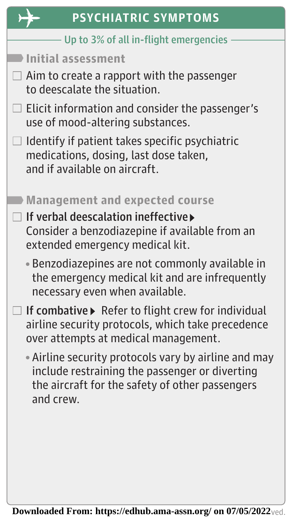| ۰ |  |
|---|--|
|   |  |

| <b>PSYCHIATRIC SYMPTOMS</b>                                                                                                                                            |
|------------------------------------------------------------------------------------------------------------------------------------------------------------------------|
| Up to 3% of all in-flight emergencies                                                                                                                                  |
| <b>Initial assessment</b>                                                                                                                                              |
| $\Box$ Aim to create a rapport with the passenger<br>to deescalate the situation.                                                                                      |
| Elicit information and consider the passenger's<br>use of mood-altering substances.                                                                                    |
| Identify if patient takes specific psychiatric<br>medications, dosing, last dose taken,<br>and if available on aircraft.                                               |
| <b>Management and expected course</b>                                                                                                                                  |
| If verbal deescalation ineffective<br>Consider a benzodiazepine if available from an<br>extended emergency medical kit.                                                |
| • Benzodiazepines are not commonly available in<br>the emergency medical kit and are infrequently<br>necessary even when available.                                    |
| If combative ▶ Refer to flight crew for individual<br>airline security protocols, which take precedence<br>over attempts at medical management.                        |
| • Airline security protocols vary by airline and may<br>include restraining the passenger or diverting<br>the aircraft for the safety of other passengers<br>and crew. |
|                                                                                                                                                                        |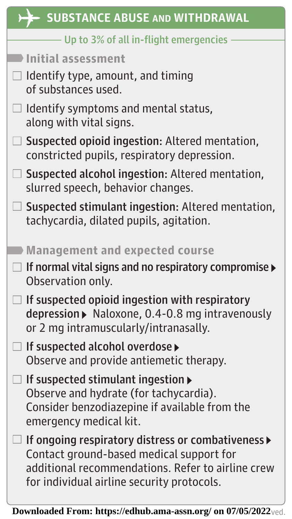| <b>SUBSTANCE ABUSE AND WITHDRAWAL</b>                                                                                                                                                             |
|---------------------------------------------------------------------------------------------------------------------------------------------------------------------------------------------------|
| Up to 3% of all in-flight emergencies                                                                                                                                                             |
| Initial assessment                                                                                                                                                                                |
| Identify type, amount, and timing<br>of substances used.                                                                                                                                          |
| Identify symptoms and mental status,<br>along with vital signs.                                                                                                                                   |
| Suspected opioid ingestion: Altered mentation,<br>constricted pupils, respiratory depression.                                                                                                     |
| Suspected alcohol ingestion: Altered mentation,<br>slurred speech, behavior changes.                                                                                                              |
| Suspected stimulant ingestion: Altered mentation,<br>tachycardia, dilated pupils, agitation.                                                                                                      |
| <b>Management and expected course</b>                                                                                                                                                             |
| If normal vital signs and no respiratory compromise<br>Observation only.                                                                                                                          |
| If suspected opioid ingestion with respiratory<br>depression ▶ Naloxone, 0.4-0.8 mg intravenously<br>or 2 mg intramuscularly/intranasally.                                                        |
| If suspected alcohol overdose<br>Observe and provide antiemetic therapy.                                                                                                                          |
| If suspected stimulant ingestion $\blacktriangleright$<br>Observe and hydrate (for tachycardia).<br>Consider benzodiazepine if available from the<br>emergency medical kit.                       |
| If ongoing respiratory distress or combativeness ><br>Contact ground-based medical support for<br>additional recommendations. Refer to airline crew<br>for individual airline security protocols. |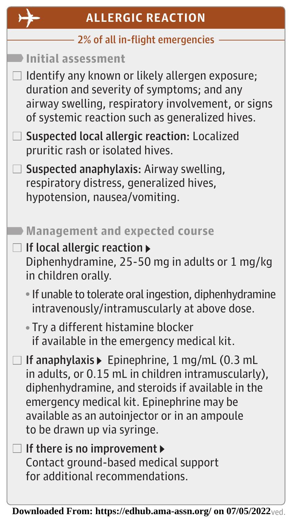

| <b>ALLERGIC REACTION</b>                                                                                                                                                                                                                                                               |
|----------------------------------------------------------------------------------------------------------------------------------------------------------------------------------------------------------------------------------------------------------------------------------------|
| 2% of all in-flight emergencies                                                                                                                                                                                                                                                        |
| Initial assessment                                                                                                                                                                                                                                                                     |
| Identify any known or likely allergen exposure;<br>duration and severity of symptoms; and any<br>airway swelling, respiratory involvement, or signs<br>of systemic reaction such as generalized hives.                                                                                 |
| Suspected local allergic reaction: Localized<br>pruritic rash or isolated hives.                                                                                                                                                                                                       |
| Suspected anaphylaxis: Airway swelling,<br>respiratory distress, generalized hives,<br>hypotension, nausea/vomiting.                                                                                                                                                                   |
| <b>Management and expected course</b>                                                                                                                                                                                                                                                  |
| If local allergic reaction ▶<br>Diphenhydramine, 25-50 mg in adults or 1 mg/kg<br>in children orally.                                                                                                                                                                                  |
| . If unable to tolerate oral ingestion, diphenhydramine<br>intravenously/intramuscularly at above dose.                                                                                                                                                                                |
| • Try a different histamine blocker<br>if available in the emergency medical kit.                                                                                                                                                                                                      |
| If anaphylaxis ▶ Epinephrine, 1 mg/mL (0.3 mL<br>in adults, or 0.15 mL in children intramuscularly),<br>diphenhydramine, and steroids if available in the<br>emergency medical kit. Epinephrine may be<br>available as an autoinjector or in an ampoule<br>to be drawn up via syringe. |
| If there is no improvement ▶<br>Contact ground-based medical support<br>for additional recommendations.                                                                                                                                                                                |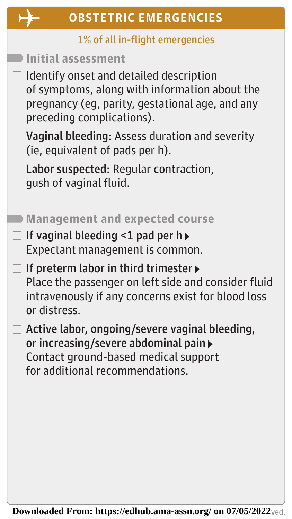| <b>OBSTETRIC EMERGENCIES</b>                                                                                                                                             |
|--------------------------------------------------------------------------------------------------------------------------------------------------------------------------|
| 1% of all in-flight emergencies                                                                                                                                          |
| Initial assessment                                                                                                                                                       |
| Identify onset and detailed description<br>of symptoms, along with information about the<br>pregnancy (eg, parity, gestational age, and any<br>preceding complications). |
| Vaginal bleeding: Assess duration and severity<br>(ie, equivalent of pads per h).                                                                                        |
| Labor suspected: Regular contraction,<br>qush of vaginal fluid.                                                                                                          |
| <b>Management and expected course</b>                                                                                                                                    |
| If vaginal bleeding $\leq 1$ pad per h<br>Expectant management is common.                                                                                                |
| If preterm labor in third trimester ▶<br>Place the passenger on left side and consider fluid<br>intravenously if any concerns exist for blood loss<br>or distress.       |
| Active labor, ongoing/severe vaginal bleeding,<br>or increasing/severe abdominal pain<br>Contact ground-based medical support<br>for additional recommendations.         |
|                                                                                                                                                                          |